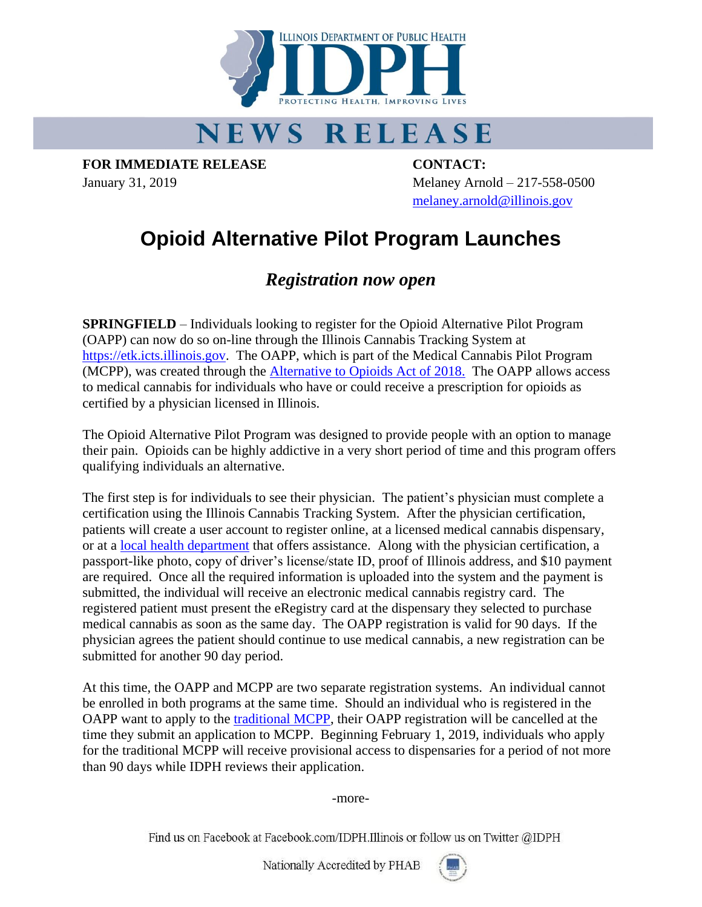

## **NEWS RELEASE**

**FOR IMMEDIATE RELEASE CONTACT:**

January 31, 2019 Melaney Arnold – 217-558-0500 [melaney.arnold@illinois.gov](mailto:melaney.arnold@illinois.gov)

## **Opioid Alternative Pilot Program Launches**

## *Registration now open*

**SPRINGFIELD** – Individuals looking to register for the Opioid Alternative Pilot Program (OAPP) can now do so on-line through the Illinois Cannabis Tracking System at [https://etk.icts.illinois.gov.](https://etk.icts.illinois.gov/) The OAPP, which is part of the Medical Cannabis Pilot Program (MCPP), was created through the [Alternative to Opioids Act of 2018.](http://www.ilga.gov/legislation/publicacts/100/PDF/100-1114.pdf) The OAPP allows access to medical cannabis for individuals who have or could receive a prescription for opioids as certified by a physician licensed in Illinois.

The Opioid Alternative Pilot Program was designed to provide people with an option to manage their pain. Opioids can be highly addictive in a very short period of time and this program offers qualifying individuals an alternative.

The first step is for individuals to see their physician. The patient's physician must complete a certification using the Illinois Cannabis Tracking System. After the physician certification, patients will create a user account to register online, at a licensed medical cannabis dispensary, or at a [local health department](http://www.dph.illinois.gov/topics-services/prevention-wellness/medical-cannabis/application-help) that offers assistance. Along with the physician certification, a passport-like photo, copy of driver's license/state ID, proof of Illinois address, and \$10 payment are required. Once all the required information is uploaded into the system and the payment is submitted, the individual will receive an electronic medical cannabis registry card. The registered patient must present the eRegistry card at the dispensary they selected to purchase medical cannabis as soon as the same day. The OAPP registration is valid for 90 days. If the physician agrees the patient should continue to use medical cannabis, a new registration can be submitted for another 90 day period.

At this time, the OAPP and MCPP are two separate registration systems. An individual cannot be enrolled in both programs at the same time. Should an individual who is registered in the OAPP want to apply to the [traditional MCPP,](https://medicalcannabispatients.illinois.gov/) their OAPP registration will be cancelled at the time they submit an application to MCPP. Beginning February 1, 2019, individuals who apply for the traditional MCPP will receive provisional access to dispensaries for a period of not more than 90 days while IDPH reviews their application.

-more-

Find us on Facebook at Facebook.com/IDPH.Illinois or follow us on Twitter @IDPH

Nationally Accredited by PHAB